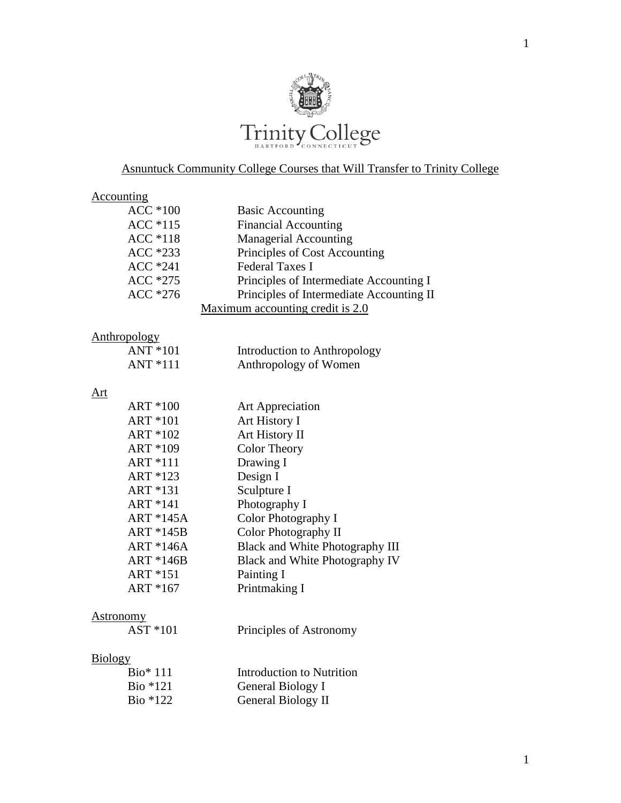

## Asnuntuck Community College Courses that Will Transfer to Trinity College

| <u>Accounting</u>   |                                          |
|---------------------|------------------------------------------|
| $ACC*100$           | <b>Basic Accounting</b>                  |
| ACC *115            | <b>Financial Accounting</b>              |
| <b>ACC</b> *118     | <b>Managerial Accounting</b>             |
| ACC *233            | Principles of Cost Accounting            |
| $ACC*241$           | <b>Federal Taxes I</b>                   |
| ACC *275            | Principles of Intermediate Accounting I  |
| ACC *276            | Principles of Intermediate Accounting II |
|                     | Maximum accounting credit is 2.0         |
| <b>Anthropology</b> |                                          |
| ANT *101            | Introduction to Anthropology             |
| $ANT*111$           | Anthropology of Women                    |
|                     |                                          |
| Art                 |                                          |
| ART *100            | <b>Art Appreciation</b>                  |
| <b>ART *101</b>     | Art History I                            |
| ART *102            | Art History II                           |
| ART *109            | Color Theory                             |
| <b>ART *111</b>     | Drawing I                                |
| ART *123            | Design I                                 |
| ART *131            | Sculpture I                              |
| ART *141            | Photography I                            |
| ART *145A           | Color Photography I                      |
| <b>ART *145B</b>    | Color Photography II                     |
| <b>ART *146A</b>    | Black and White Photography III          |
| $ART * 146B$        | Black and White Photography IV           |
| ART *151            | Painting I                               |
| ART *167            | Printmaking I                            |
| <b>Astronomy</b>    |                                          |
| AST *101            | Principles of Astronomy                  |

#### Biology

| $Bio* 111$ | Introduction to Nutrition |
|------------|---------------------------|
| Bio $*121$ | General Biology I         |
| Bio $*122$ | General Biology II        |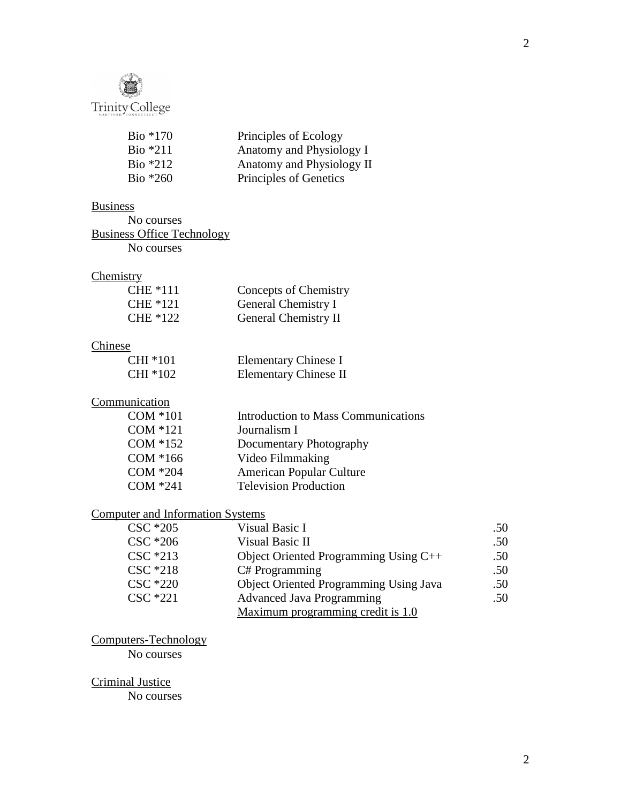

| Principles of Ecology     |
|---------------------------|
| Anatomy and Physiology I  |
| Anatomy and Physiology II |
| Principles of Genetics    |
|                           |

#### **Business**

No courses Business Office Technology No courses

### **Chemistry**

| <b>CHE</b> *111 | Concepts of Chemistry       |
|-----------------|-----------------------------|
| CHE *121        | General Chemistry I         |
| CHE *122        | <b>General Chemistry II</b> |

#### **Chinese**

| CHI *101 | Elementary Chinese I         |
|----------|------------------------------|
| CHI *102 | <b>Elementary Chinese II</b> |

#### **Communication**

| $COM * 101$ | <b>Introduction to Mass Communications</b> |
|-------------|--------------------------------------------|
| $COM * 121$ | Journalism I                               |
| $COM * 152$ | Documentary Photography                    |
| $COM*166$   | Video Filmmaking                           |
| $COM * 204$ | <b>American Popular Culture</b>            |
| $COM * 241$ | <b>Television Production</b>               |

#### Computer and Information Systems

| $\text{CSC}$ $*205$ | Visual Basic I                                | .50 |
|---------------------|-----------------------------------------------|-----|
| $\text{CSC}$ $*206$ | Visual Basic II                               | .50 |
| $\text{CSC}$ *213   | Object Oriented Programming Using $C++$       | .50 |
| $\text{CSC}$ $*218$ | C# Programming                                | .50 |
| $\text{CSC}$ $*220$ | <b>Object Oriented Programming Using Java</b> | .50 |
| CSC *221            | <b>Advanced Java Programming</b>              | .50 |
|                     | Maximum programming credit is 1.0             |     |

Computers-Technology

No courses

Criminal Justice

No courses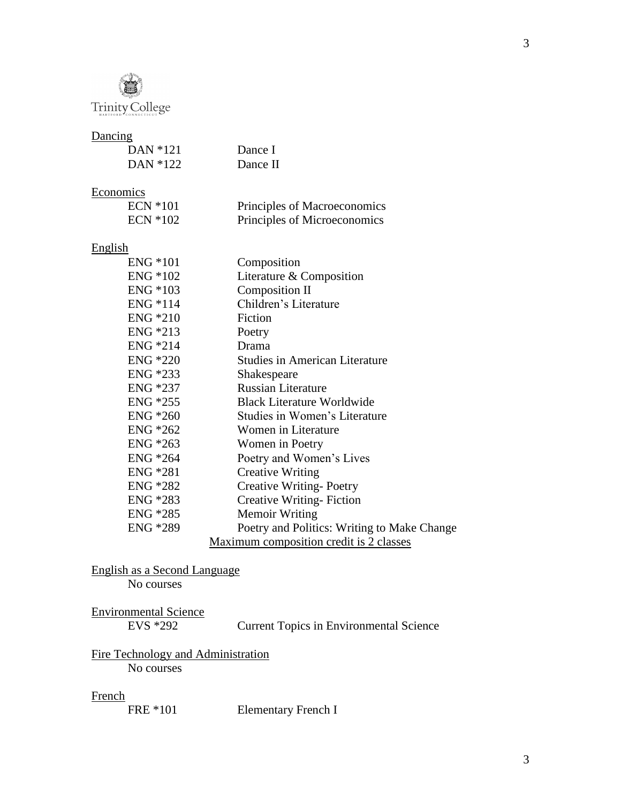

### **Dancing**

| $L$ and $L_{L}$  |                                             |
|------------------|---------------------------------------------|
| DAN *121         | Dance I                                     |
| DAN *122         | Dance II                                    |
|                  |                                             |
| <b>Economics</b> |                                             |
| $ECN * 101$      | Principles of Macroeconomics                |
| <b>ECN *102</b>  | Principles of Microeconomics                |
| <b>English</b>   |                                             |
| $ENG * 101$      | Composition                                 |
| ENG *102         | Literature & Composition                    |
| ENG *103         | Composition II                              |
| ENG *114         | Children's Literature                       |
| <b>ENG</b> *210  | Fiction                                     |
| ENG *213         | Poetry                                      |
| ENG *214         | Drama                                       |
| <b>ENG *220</b>  | <b>Studies in American Literature</b>       |
| $ENG * 233$      | Shakespeare                                 |
| ENG *237         | <b>Russian Literature</b>                   |
| ENG *255         | <b>Black Literature Worldwide</b>           |
| ENG *260         | Studies in Women's Literature               |
| ENG *262         | Women in Literature                         |
| $ENG * 263$      | Women in Poetry                             |
| ENG *264         | Poetry and Women's Lives                    |
| ENG *281         | <b>Creative Writing</b>                     |
| ENG *282         | <b>Creative Writing-Poetry</b>              |
| ENG *283         | <b>Creative Writing-Fiction</b>             |
| ENG *285         | <b>Memoir Writing</b>                       |
| ENG *289         | Poetry and Politics: Writing to Make Change |
|                  | Maximum composition credit is 2 classes     |

English as a Second Language

No courses

| <b>Environmental Science</b> |  |
|------------------------------|--|
| EVS *292                     |  |

Current Topics in Environmental Science

# Fire Technology and Administration

No courses

French<br>FRE \*101

Elementary French I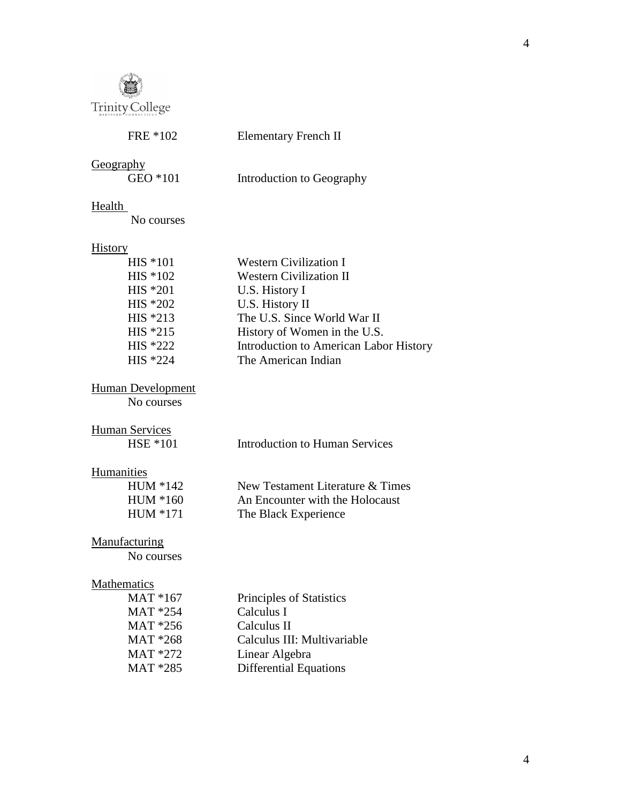

| FRE *102                 | <b>Elementary French II</b>                   |
|--------------------------|-----------------------------------------------|
| Geography                |                                               |
| GEO *101                 | Introduction to Geography                     |
| Health                   |                                               |
| No courses               |                                               |
| <b>History</b>           |                                               |
| HIS *101                 | <b>Western Civilization I</b>                 |
| HIS *102                 | <b>Western Civilization II</b>                |
| $HIS *201$               | U.S. History I                                |
| HIS *202                 | U.S. History II                               |
| HIS *213                 | The U.S. Since World War II                   |
| HIS *215                 | History of Women in the U.S.                  |
| HIS *222                 | <b>Introduction to American Labor History</b> |
| HIS *224                 | The American Indian                           |
| <b>Human Development</b> |                                               |
| No courses               |                                               |
| <b>Human Services</b>    |                                               |
| <b>HSE *101</b>          | <b>Introduction to Human Services</b>         |
| Humanities               |                                               |
| HUM *142                 | New Testament Literature & Times              |
| HUM *160                 | An Encounter with the Holocaust               |
| HUM *171                 | The Black Experience                          |
| Manufacturing            |                                               |
| No courses               |                                               |
| <b>Mathematics</b>       |                                               |
| MAT *167                 | Principles of Statistics                      |
| MAT *254                 | Calculus I                                    |
| MAT *256                 | Calculus II                                   |

MAT \*268 Calculus III: Multivariable<br>MAT \*272 Linear Algebra

MAT \*272 Linear Algebra<br>MAT \*285 Differential Equ Differential Equations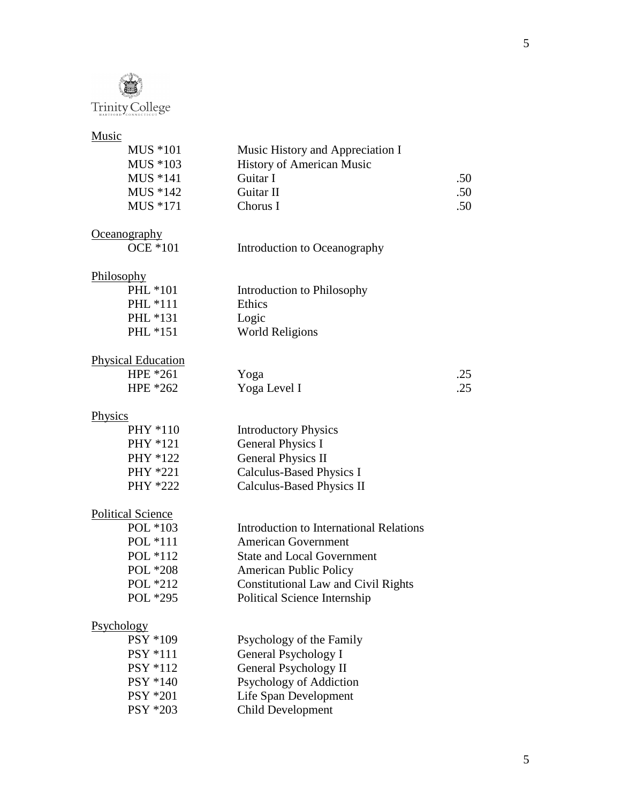

#### Music

| MUS *101 | Music History and Appreciation I |     |
|----------|----------------------------------|-----|
| MUS *103 | <b>History of American Music</b> |     |
| MUS *141 | Guitar I                         | .50 |
| MUS *142 | Guitar II                        | .50 |
| MUS *171 | Chorus I                         | .50 |

#### **Oceanography**

| )CE *101 |  |
|----------|--|
|----------|--|

Introduction to Oceanography

#### Philosophy

| $PHL * 101$     | Introdu |
|-----------------|---------|
| <b>PHL</b> *111 | Ethics  |
| PHL *131        | Logic   |
| PHL *151        | World   |

PHL \*101 Introduction to Philosophy PHL \*151 World Religions

# Physical Education

HPE \*261 Yoga <br>
HPE \*262 Yoga Level I .25 Yoga Level I

#### **Physics**

| PHY *110 | <b>Introductory Physics</b> |
|----------|-----------------------------|
| PHY *121 | <b>General Physics I</b>    |
| PHY *122 | <b>General Physics II</b>   |
| PHY *221 | Calculus-Based Physics I    |
| PHY *222 | Calculus-Based Physics II   |

#### Political Science

| POL $*103$ | Introduction to International Relations    |
|------------|--------------------------------------------|
| POL *111   | <b>American Government</b>                 |
| POL *112   | <b>State and Local Government</b>          |
| POL *208   | <b>American Public Policy</b>              |
| POL *212   | <b>Constitutional Law and Civil Rights</b> |
| POL *295   | Political Science Internship               |

#### Psychology

| PSY *109 | Psychology of the Family |
|----------|--------------------------|
| PSY *111 | General Psychology I     |
| PSY *112 | General Psychology II    |
| PSY *140 | Psychology of Addiction  |
| PSY *201 | Life Span Development    |
| PSY *203 | Child Development        |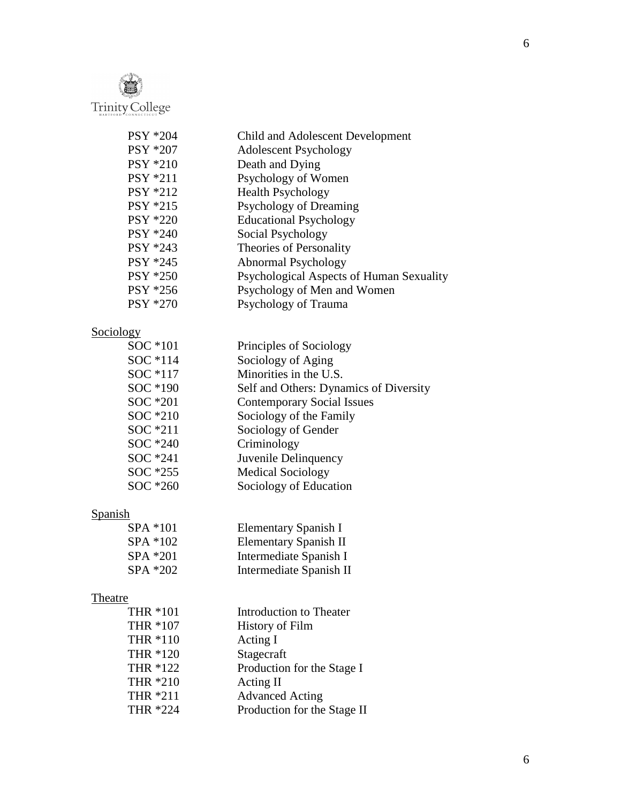

| <b>PSY *204</b> | Child and Adolescent Development         |
|-----------------|------------------------------------------|
| PSY *207        | <b>Adolescent Psychology</b>             |
| <b>PSY *210</b> | Death and Dying                          |
| <b>PSY *211</b> | Psychology of Women                      |
| <b>PSY *212</b> | <b>Health Psychology</b>                 |
| <b>PSY *215</b> | Psychology of Dreaming                   |
| <b>PSY *220</b> | <b>Educational Psychology</b>            |
| <b>PSY *240</b> | Social Psychology                        |
| PSY *243        | Theories of Personality                  |
| PSY *245        | Abnormal Psychology                      |
| <b>PSY *250</b> | Psychological Aspects of Human Sexuality |
| PSY *256        | Psychology of Men and Women              |
| <b>PSY *270</b> | Psychology of Trauma                     |
|                 |                                          |

# Sociology

| SOC *101 | Principles of Sociology                |
|----------|----------------------------------------|
| SOC *114 | Sociology of Aging                     |
| SOC *117 | Minorities in the U.S.                 |
| SOC *190 | Self and Others: Dynamics of Diversity |
| SOC *201 | <b>Contemporary Social Issues</b>      |
| SOC *210 | Sociology of the Family                |
| SOC *211 | Sociology of Gender                    |
| SOC *240 | Criminology                            |
| SOC *241 | Juvenile Delinquency                   |
| SOC *255 | <b>Medical Sociology</b>               |
| SOC *260 | Sociology of Education                 |

# Spanish<br>SH<br>SH<br>SH<br>SH

| SPA *101 | Elementary Spanish I    |
|----------|-------------------------|
| SPA *102 | Elementary Spanish II   |
| SPA *201 | Intermediate Spanish I  |
| SPA *202 | Intermediate Spanish II |

# **Theatre**

| THR *101 | Introduction to Theater     |
|----------|-----------------------------|
| THR *107 | <b>History of Film</b>      |
| THR *110 | Acting I                    |
| THR *120 | Stagecraft                  |
| THR *122 | Production for the Stage I  |
| THR *210 | Acting II                   |
| THR *211 | <b>Advanced Acting</b>      |
| THR *224 | Production for the Stage II |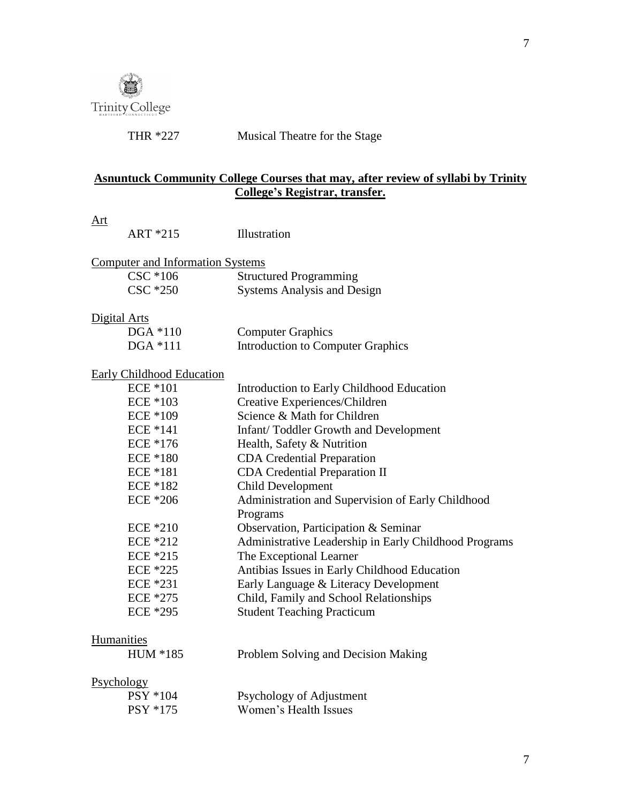

THR \*227 Musical Theatre for the Stage

#### **Asnuntuck Community College Courses that may, after review of syllabi by Trinity College's Registrar, transfer.**

| $  -$<br>ART *215                       | Illustration                                          |
|-----------------------------------------|-------------------------------------------------------|
| <b>Computer and Information Systems</b> |                                                       |
| CSC *106                                | <b>Structured Programming</b>                         |
| $\text{CSC}$ $*250$                     | <b>Systems Analysis and Design</b>                    |
| Digital Arts                            |                                                       |
| $DGA * 110$                             | <b>Computer Graphics</b>                              |
| $DGA * 111$                             | <b>Introduction to Computer Graphics</b>              |
| Early Childhood Education               |                                                       |
| <b>ECE *101</b>                         | Introduction to Early Childhood Education             |
| $ECE * 103$                             | Creative Experiences/Children                         |
| <b>ECE *109</b>                         | Science & Math for Children                           |
| $ECE * 141$                             | Infant/Toddler Growth and Development                 |
| ECE *176                                | Health, Safety & Nutrition                            |
| $ECE * 180$                             | <b>CDA</b> Credential Preparation                     |
| <b>ECE *181</b>                         | <b>CDA Credential Preparation II</b>                  |
| $ECE * 182$                             | <b>Child Development</b>                              |
| $ECE * 206$                             | Administration and Supervision of Early Childhood     |
|                                         | Programs                                              |
| <b>ECE *210</b>                         | Observation, Participation & Seminar                  |
| ECE *212                                | Administrative Leadership in Early Childhood Programs |
| $ECE * 215$                             | The Exceptional Learner                               |
| <b>ECE *225</b>                         | Antibias Issues in Early Childhood Education          |
| ECE *231                                | Early Language & Literacy Development                 |
| ECE *275                                | Child, Family and School Relationships                |
| ECE *295                                | <b>Student Teaching Practicum</b>                     |
| Humanities                              |                                                       |

#### **Humanities**

### Psychology

| $PSY * 104$     | Psychology of Adjustment |
|-----------------|--------------------------|
| <b>PSY *175</b> | Women's Health Issues    |